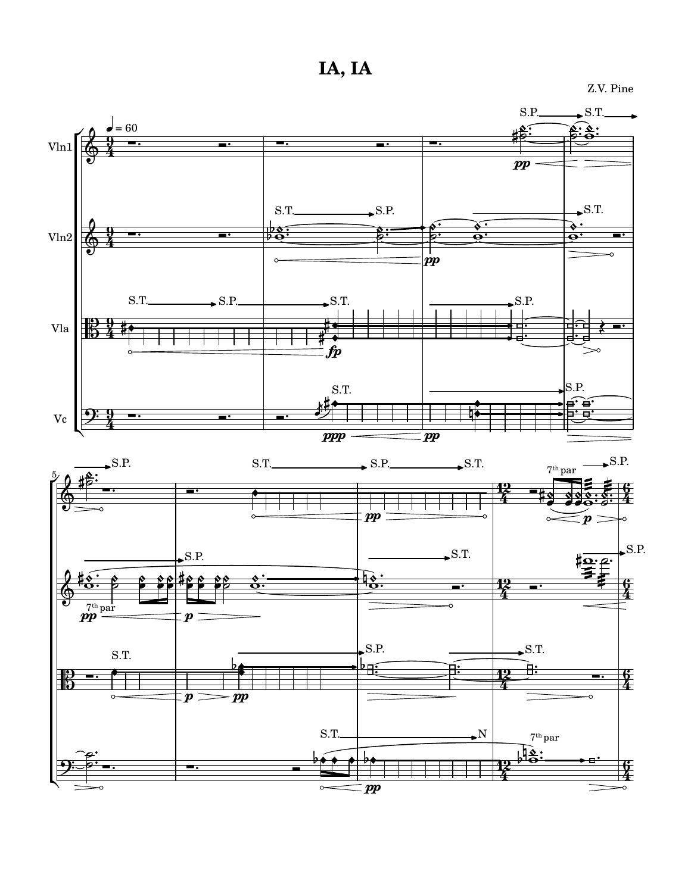**IA, IA**

Z.V. Pine

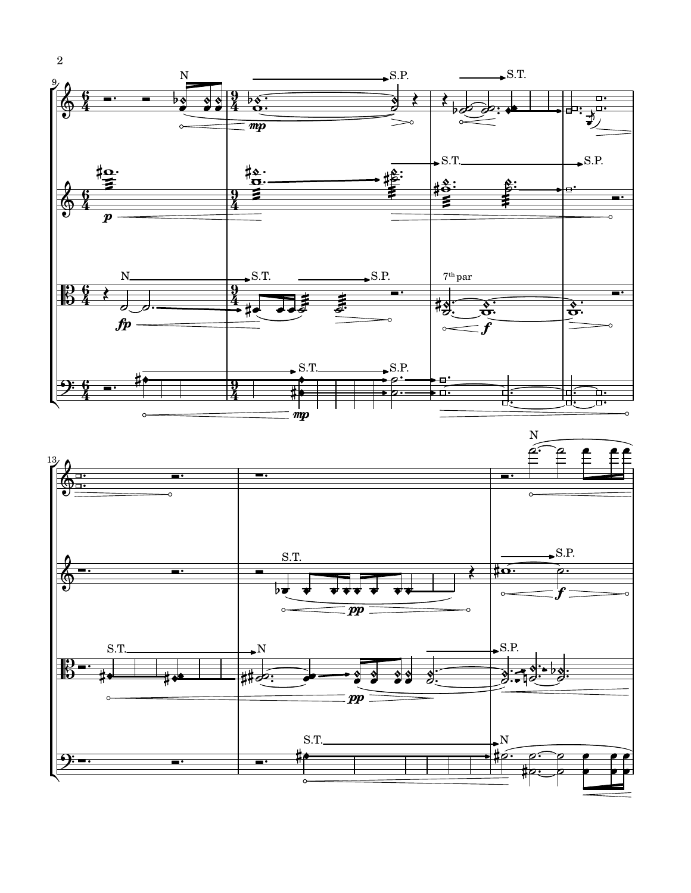

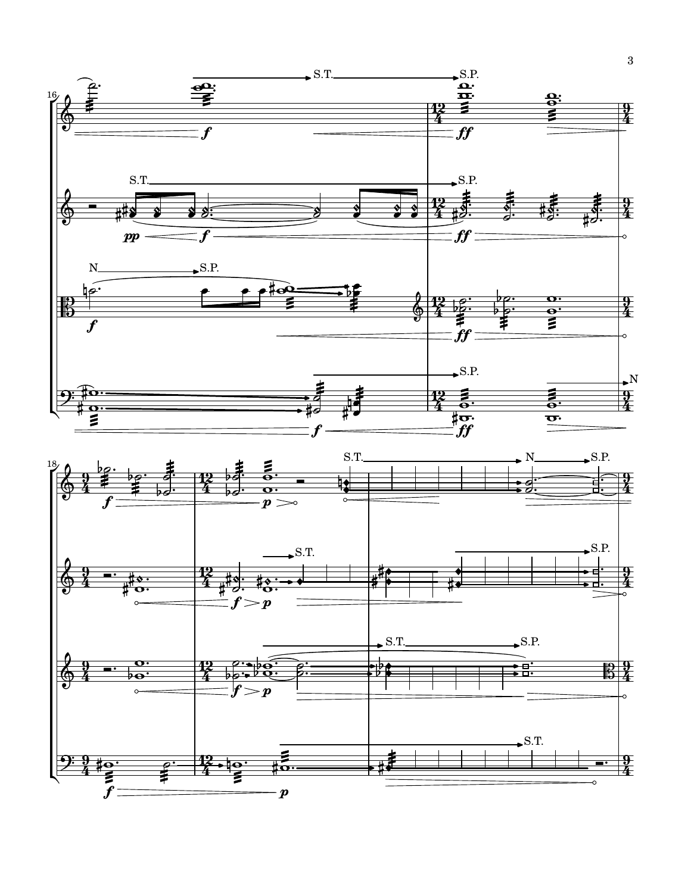

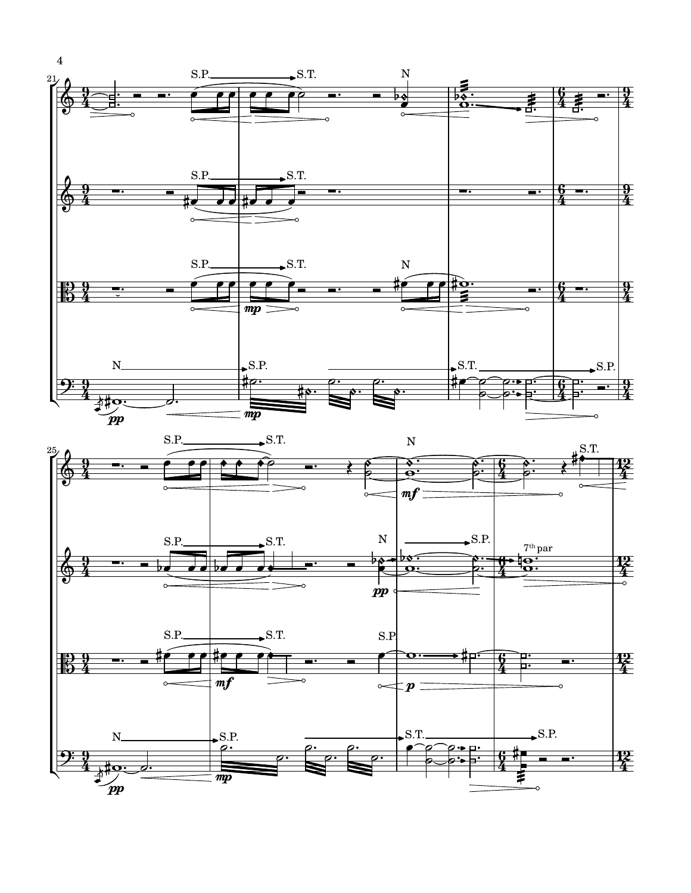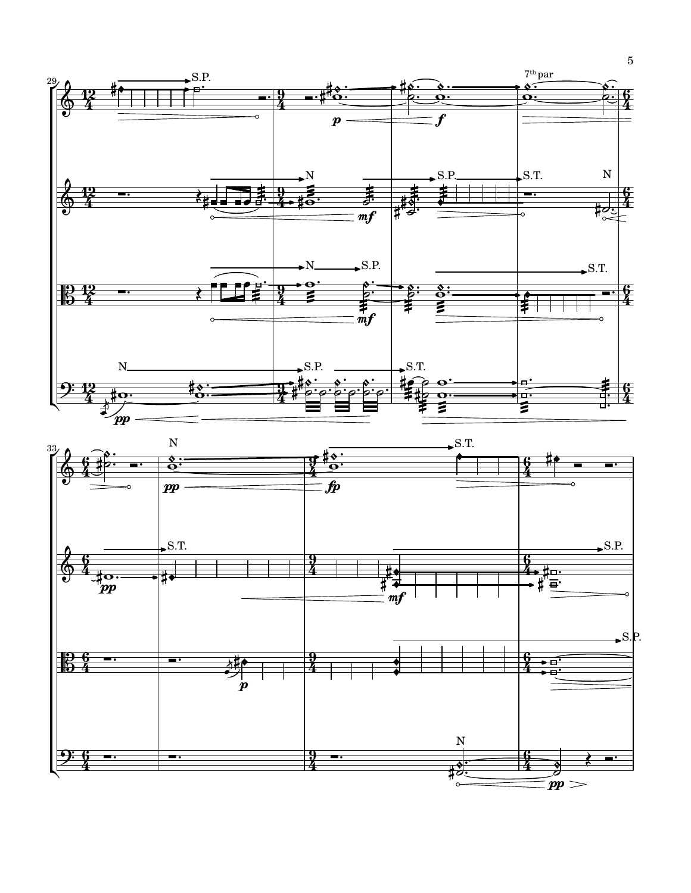



5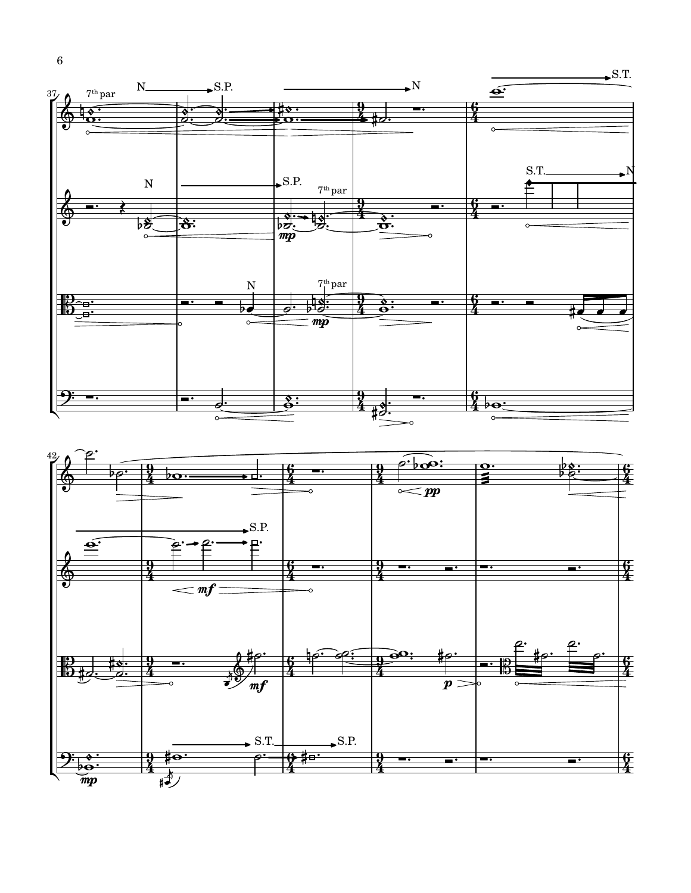



6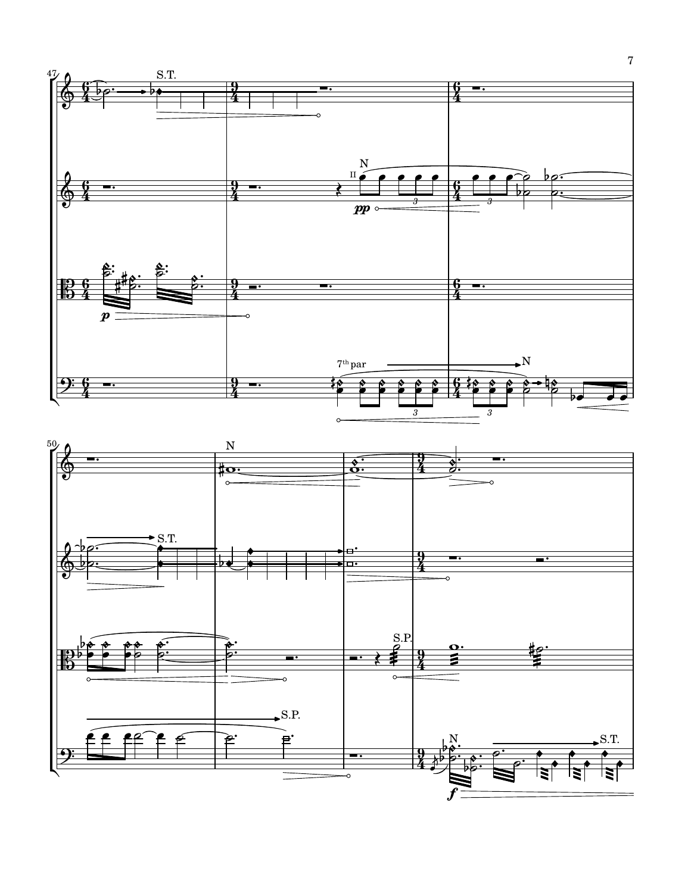